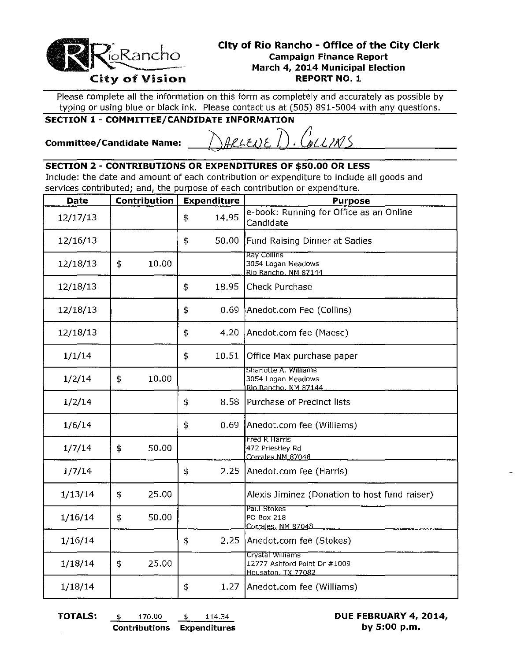

## **City of Rio Rancho - Office of the City Clerk Campaign Finance Report** March 4, 2014 Municipal Election **REPORT NO. 1**

Please complete all the information on this form as completely and accurately as possible by typing or using blue or black ink. Please contact us at (505) 891-5004 with any questions.

## **SECTION 1 - COMMITTEE/CANDIDATE INFORMATION**

**Committee/Candidate Name:** 

.<br>WLLIATS  $P(E)$ 

## **SECTION 2 - CONTRIBUTIONS OR EXPENDITURES OF \$50.00 OR LESS**

Include: the date and amount of each contribution or expenditure to include all goods and services contributed; and, the purpose of each contribution or expenditure.

| <b>Date</b> | Contribution | Expenditure | <b>Purpose</b>                                                         |
|-------------|--------------|-------------|------------------------------------------------------------------------|
| 12/17/13    |              | \$<br>14.95 | e-book: Running for Office as an Online<br>Candidate                   |
| 12/16/13    |              | \$<br>50.00 | Fund Raising Dinner at Sadies                                          |
| 12/18/13    | \$<br>10.00  |             | Ray Collins<br>3054 Logan Meadows<br>Rio Rancho. NM 87144              |
| 12/18/13    |              | \$<br>18.95 | Check Purchase                                                         |
| 12/18/13    |              | \$<br>0.69  | Anedot.com Fee (Collins)                                               |
| 12/18/13    |              | \$<br>4.20  | Anedot.com fee (Maese)                                                 |
| 1/1/14      |              | \$<br>10.51 | Office Max purchase paper                                              |
| 1/2/14      | \$<br>10.00  |             | Sharlotte A. Williams<br>3054 Logan Meadows<br>Rio Rancho. NM 87144    |
| 1/2/14      |              | \$<br>8.58  | Purchase of Precinct lists                                             |
| 1/6/14      |              | \$<br>0.69  | Anedot.com fee (Williams)                                              |
| 1/7/14      | \$<br>50.00  |             | Fred R Harris<br>472 Priestley Rd<br>Corrales NM 87048                 |
| 1/7/14      |              | \$<br>2.25  | Anedot.com fee (Harris)                                                |
| 1/13/14     | \$<br>25.00  |             | Alexis Jiminez (Donation to host fund raiser)                          |
| 1/16/14     | \$<br>50.00  |             | Paul Stokes<br>PO Box 218<br>Corrales, NM 87048                        |
| 1/16/14     |              | \$<br>2.25  | Anedot.com fee (Stokes)                                                |
| 1/18/14     | \$<br>25.00  |             | Crystal Williams<br>12777 Ashford Point Dr #1009<br>Housaton, TX_77082 |
| 1/18/14     |              | \$<br>1.27  | Anedot.com fee (Williams)                                              |

TOTALS:

 $\frac{4}{3}$ 

114.34 170.00  $\ddagger$ **Contributions Expenditures**  DUE FEBRUARY 4, 2014, by 5:00 p.m.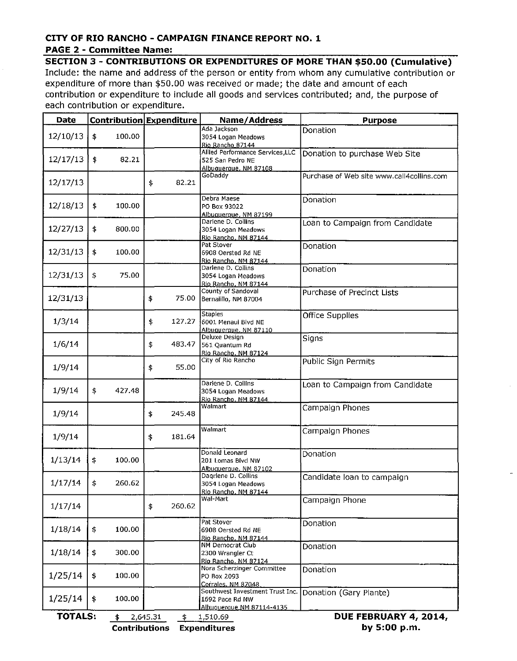## CITY OF RIO RANCHO - CAMPAIGN FINANCE REPORT NO. 1

**Contributions Expenditures** 

#### **PAGE 2 - Committee Name:**

**SECTION 3 - CONTRIBUTIONS OR EXPENDITURES OF MORE THAN \$50.00 (Cumulative)** Include: the name and address of the person or entity from whom any cumulative contribution or expenditure of more than \$50.00 was received or made; the date and amount of each contribution or expenditure to include all goods and services contributed; and, the purpose of each contribution or expenditure.

| <b>Date</b>    |              | Contribution Expenditure | Name/Address                                                                    | <b>Purpose</b>                            |
|----------------|--------------|--------------------------|---------------------------------------------------------------------------------|-------------------------------------------|
| 12/10/13       | 100.00<br>\$ |                          | Ada Jackson<br>3054 Logan Meadows<br>Rio Rancho 87144                           | Donation                                  |
| 12/17/13       | \$<br>82.21  |                          | Allied Performance Services, LLC<br>525 San Pedro NE<br>Albuauerque, NM 87108   | Donation to purchase Web Site             |
| 12/17/13       |              | 82.21<br>\$              | GoDaddy                                                                         | Purchase of Web site www.call4collins.com |
| 12/18/13       | \$<br>100.00 |                          | Debra Maese<br>PO Box 93022<br>Albuaueraue, NM 87199                            | Donation                                  |
| 12/27/13       | \$<br>800.00 |                          | Darlene D. Collins<br>3054 Logan Meadows<br>Rio Rancho, NM 87144                | Loan to Campaign from Candidate           |
| 12/31/13       | \$<br>100.00 |                          | Pat Stover<br>6908 Oersted Rd NE<br>Rio Rancho, NM 87144                        | Donation                                  |
| 12/31/13       | \$<br>75.00  |                          | Darlene D. Collins<br>3054 Logan Meadows<br>Rio Rancho, NM 87144                | Donation                                  |
| 12/31/13       |              | \$<br>75.00              | County of Sandoval<br>Bernalillo, NM 87004                                      | Purchase of Precinct Lists                |
| 1/3/14         |              | 127.27<br>\$             | <b>Staples</b><br>6001 Menaul Blvd NE<br>Albuquerque, NM 87110                  | Office Supplies                           |
| 1/6/14         |              | \$<br>483.47             | Deluxe Design<br>561 Quantum Rd<br>Rio Rancho, NM 87124                         | Signs                                     |
| 1/9/14         |              | 55.00<br>\$              | City of Rio Rancho                                                              | Public Sign Permits                       |
| 1/9/14         | \$<br>427.48 |                          | Darlene D. Collins<br>3054 Logan Meadows<br>Rio Rancho, NM 87144                | Loan to Campaign from Candidate           |
| 1/9/14         |              | 245.48<br>\$             | Walmart                                                                         | Campaign Phones                           |
| 1/9/14         |              | 181.64<br>\$             | Walmart                                                                         | Campaign Phones                           |
| 1/13/14        | \$<br>100.00 |                          | Donald Leonard<br>201 Lomas Blvd NW<br>Albuquerque, NM 87102                    | Donation                                  |
| 1/17/14        | \$<br>260.62 |                          | Dagriene D. Collins<br>3054 Logan Meadows<br><u> Rio Rancho, NM 87144</u>       | Candidate loan to campaign                |
| 1/17/14        |              | \$<br>260.62             | Wal-Mart                                                                        | Campaign Phone                            |
| 1/18/14        | \$<br>100.00 |                          | Pat Stover<br>6908 Oersted Rd NE<br>Rio Rancho, NM 87144                        | Donation                                  |
| 1/18/14        | \$<br>300.00 |                          | NM Democrat Club<br>2300 Wrangler Ct<br>Rio Rancho, NM 87124                    | Donation                                  |
| 1/25/14        | \$<br>100.00 |                          | Nora Scherzinger Committee<br>PO Box 2093<br>Corrales, NM 87048                 | Donation                                  |
| 1/25/14        | \$<br>100.00 |                          | Southwest Investment Trust Inc.<br>1692 Pace Rd NW<br>Albuquerque NM 87114-4135 | Donation (Gary Plante)                    |
| <b>TOTALS:</b> | \$           | 2,645.31<br>\$           | 1,510.69                                                                        | DUE FEBRUARY 4, 2014,                     |

by 5:00 p.m.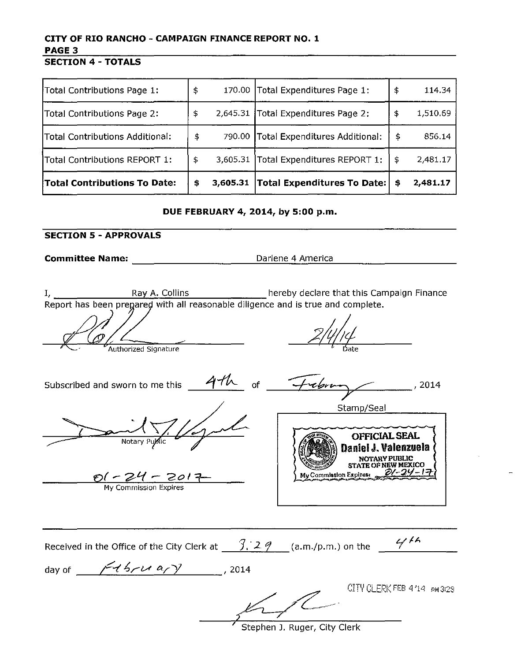# CITY OF RIO RANCHO - CAMPAIGN FINANCE REPORT NO.1 PAGE 3

SECTION 4 - TOTALS

| Total Contributions Page 1:         | \$             | 170.00 Total Expenditures Page 1:     | \$<br>114.34   |
|-------------------------------------|----------------|---------------------------------------|----------------|
| Total Contributions Page 2:         | \$<br>2,645.31 | Total Expenditures Page 2:            | \$<br>1,510.69 |
| Total Contributions Additional:     | \$             | 790.00 Total Expenditures Additional: | \$<br>856.14   |
| Total Contributions REPORT 1:       | \$<br>3,605.31 | Total Expenditures REPORT 1:          | \$<br>2,481.17 |
| <b>Total Contributions To Date:</b> | \$<br>3,605.31 | <b>Total Expenditures To Date:</b>    | \$<br>2,481.17 |

DUE FEBRUARY 4, 2014, by 5:00 p.m.

### SECTION 5 - APPROVALS

Committee Name: Committee Name: America

hereby declare that this Campaign Finance Ray A. Collins  $I_{\ell}$ with all reason able diligence and is true and complete.

Authorized Signature Subscribed and sworn to me this  $4-h$  of  $-+$ Stamp/Seal OFFICIAL SEAL Notary Daniel J. Valenzuela **NOTARY PUBLIC** STATE OF NEW MEXICO  $My$  Commission Expires:  $\frac{O(-24 - 2017)}{My$  Commission Expires Received in the Office of the City Clerk at  $\frac{7.29}{1.29}$  (a.m./p.m.) on the  $\frac{4/14}{1.29}$ day of  $\frac{f\{t\}, t\{a, y\}}{f\{t\}, t\{a, y\}}$ , 2014  $K^{\text{error}}$ CITY CLERK FEB 4'14 PM3:29

Stephen J. Ruger, City Clerk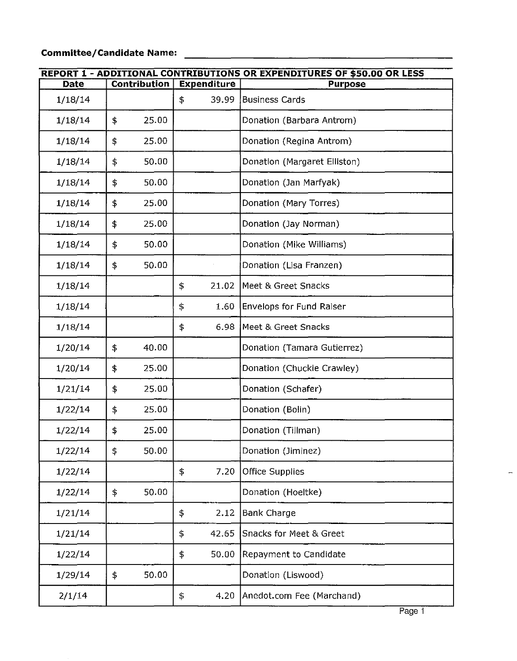# **Committee/Candidate Name:**

| <b>REPORT 1 - ADDITIONAL CONTRIBUTIONS OR EXPENDITURES OF \$50.00 OR LESS</b> |    |                     |                    |                              |  |  |  |
|-------------------------------------------------------------------------------|----|---------------------|--------------------|------------------------------|--|--|--|
| Date                                                                          |    | <b>Contribution</b> | <b>Expenditure</b> | <b>Purpose</b>               |  |  |  |
| 1/18/14                                                                       |    |                     | 39.99<br>\$        | Business Cards               |  |  |  |
| 1/18/14                                                                       | \$ | 25.00               |                    | Donation (Barbara Antrom)    |  |  |  |
| 1/18/14                                                                       | \$ | 25.00               |                    | Donation (Regina Antrom)     |  |  |  |
| 1/18/14                                                                       | \$ | 50.00               |                    | Donation (Margaret Elliston) |  |  |  |
| 1/18/14                                                                       | \$ | 50.00               |                    | Donation (Jan Marfyak)       |  |  |  |
| 1/18/14                                                                       | \$ | 25.00               |                    | Donation (Mary Torres)       |  |  |  |
| 1/18/14                                                                       | \$ | 25.00               |                    | Donation (Jay Norman)        |  |  |  |
| 1/18/14                                                                       | \$ | 50.00               |                    | Donation (Mike Williams)     |  |  |  |
| 1/18/14                                                                       | \$ | 50.00               |                    | Donation (Lisa Franzen)      |  |  |  |
| 1/18/14                                                                       |    |                     | \$<br>21.02        | Meet & Greet Snacks          |  |  |  |
| 1/18/14                                                                       |    |                     | \$<br>1.60         | Envelops for Fund Raiser     |  |  |  |
| 1/18/14                                                                       |    |                     | 6.98<br>\$         | Meet & Greet Snacks          |  |  |  |
| 1/20/14                                                                       | \$ | 40.00               |                    | Donation (Tamara Gutierrez)  |  |  |  |
| 1/20/14                                                                       | \$ | 25.00               |                    | Donation (Chuckie Crawley)   |  |  |  |
| 1/21/14                                                                       | \$ | 25.00               |                    | Donation (Schafer)           |  |  |  |
| 1/22/14                                                                       | \$ | 25.00               |                    | Donation (Bolin)             |  |  |  |
| 1/22/14                                                                       | \$ | 25.00               |                    | Donation (Tillman)           |  |  |  |
| 1/22/14                                                                       | \$ | 50.00               |                    | Donation (Jiminez)           |  |  |  |
| 1/22/14                                                                       |    |                     | \$<br>7.20         | <b>Office Supplies</b>       |  |  |  |
| 1/22/14                                                                       | \$ | 50.00               |                    | Donation (Hoeltke)           |  |  |  |
| 1/21/14                                                                       |    |                     | \$<br>2.12         | <b>Bank Charge</b>           |  |  |  |
| 1/21/14                                                                       |    |                     | \$<br>42.65        | Snacks for Meet & Greet      |  |  |  |
| 1/22/14                                                                       |    |                     | \$<br>50.00        | Repayment to Candidate       |  |  |  |
| 1/29/14                                                                       | \$ | 50.00               |                    | Donation (Liswood)           |  |  |  |
| 2/1/14                                                                        |    |                     | 4.20<br>\$         | Anedot.com Fee (Marchand)    |  |  |  |

 $\overline{a}$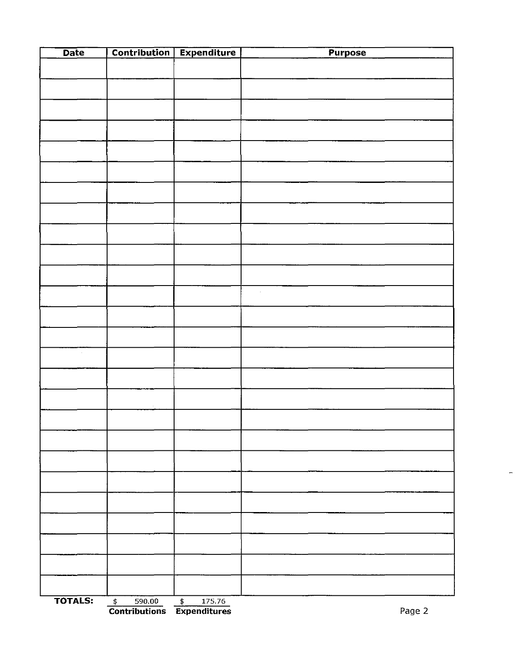| Date           |                             | Contribution Expenditure          | Purpose |
|----------------|-----------------------------|-----------------------------------|---------|
|                |                             |                                   |         |
|                |                             |                                   |         |
|                |                             |                                   |         |
|                |                             |                                   |         |
|                |                             |                                   |         |
|                |                             |                                   |         |
|                |                             |                                   |         |
|                |                             |                                   |         |
|                |                             |                                   |         |
|                |                             |                                   |         |
|                |                             |                                   |         |
|                |                             |                                   |         |
|                |                             |                                   |         |
|                |                             |                                   |         |
|                |                             |                                   |         |
|                |                             |                                   |         |
|                |                             |                                   |         |
|                |                             |                                   |         |
|                |                             |                                   |         |
|                |                             |                                   |         |
|                |                             |                                   |         |
|                |                             |                                   |         |
|                |                             |                                   |         |
|                |                             |                                   |         |
|                |                             |                                   |         |
|                |                             |                                   |         |
| <b>TOTALS:</b> | $\overline{\ast}$<br>590.00 | $\overline{\mathbf{t}}$<br>175.76 |         |

 $\frac{1}{\sqrt{2}}$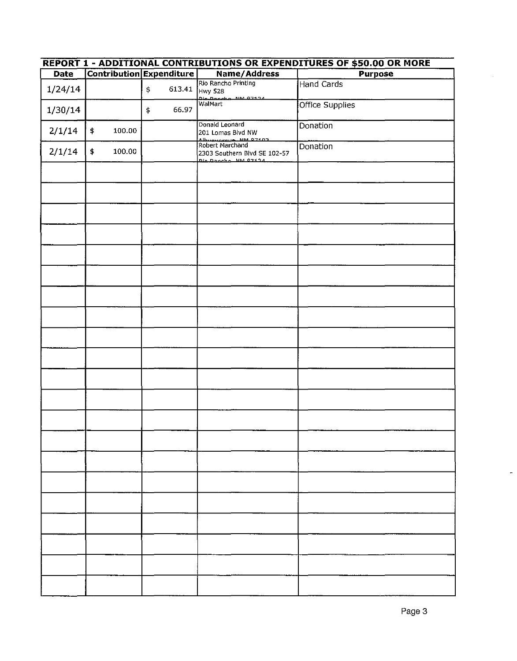| REPORT 1 - ADDITIONAL CONTRIBUTIONS OR EXPENDITURES OF \$50.00 OR MORE |    |        |                         |                          |                                                                                       |                 |  |
|------------------------------------------------------------------------|----|--------|-------------------------|--------------------------|---------------------------------------------------------------------------------------|-----------------|--|
| <b>Date</b>                                                            |    |        |                         | Contribution Expenditure | Name/Address                                                                          | <b>Purpose</b>  |  |
| 1/24/14                                                                |    |        | $\boldsymbol{\ddagger}$ | 613.41                   | Rio Rancho Printing<br>Hwy 528                                                        | Hand Cards      |  |
| 1/30/14                                                                |    |        | \$                      | 66.97                    | Die Danshe, NM 07124<br><b>WalMart</b>                                                | Office Supplies |  |
| 2/1/14                                                                 | \$ | 100.00 |                         |                          | Donald Leonard<br>201 Lomas Blvd NW<br>Albuquaraya NM 07107                           | Donation        |  |
| 2/1/14                                                                 | \$ | 100.00 |                         |                          | Robert Marchand<br>2303 Southern Blvd SE 102-57<br>التم المحدد عليه المقطوعية المنطقة | Donation        |  |
|                                                                        |    |        |                         |                          |                                                                                       |                 |  |
|                                                                        |    |        |                         |                          |                                                                                       |                 |  |
|                                                                        |    |        |                         |                          |                                                                                       |                 |  |
|                                                                        |    |        |                         |                          |                                                                                       |                 |  |
|                                                                        |    |        |                         |                          |                                                                                       |                 |  |
|                                                                        |    |        |                         |                          |                                                                                       |                 |  |
|                                                                        |    |        |                         |                          |                                                                                       |                 |  |
|                                                                        |    |        |                         |                          |                                                                                       |                 |  |
|                                                                        |    |        |                         |                          |                                                                                       |                 |  |
|                                                                        |    |        |                         |                          |                                                                                       |                 |  |
|                                                                        |    |        |                         |                          |                                                                                       |                 |  |
|                                                                        |    |        |                         |                          |                                                                                       |                 |  |
|                                                                        |    |        |                         |                          |                                                                                       |                 |  |
|                                                                        |    |        |                         |                          |                                                                                       |                 |  |
|                                                                        |    |        |                         |                          |                                                                                       |                 |  |
|                                                                        |    |        |                         |                          |                                                                                       |                 |  |
|                                                                        |    |        |                         |                          |                                                                                       |                 |  |
|                                                                        |    |        |                         |                          |                                                                                       |                 |  |
|                                                                        |    |        |                         |                          |                                                                                       |                 |  |
|                                                                        |    |        |                         |                          |                                                                                       |                 |  |
|                                                                        |    |        |                         |                          |                                                                                       |                 |  |

 $\ddot{\phantom{1}}$